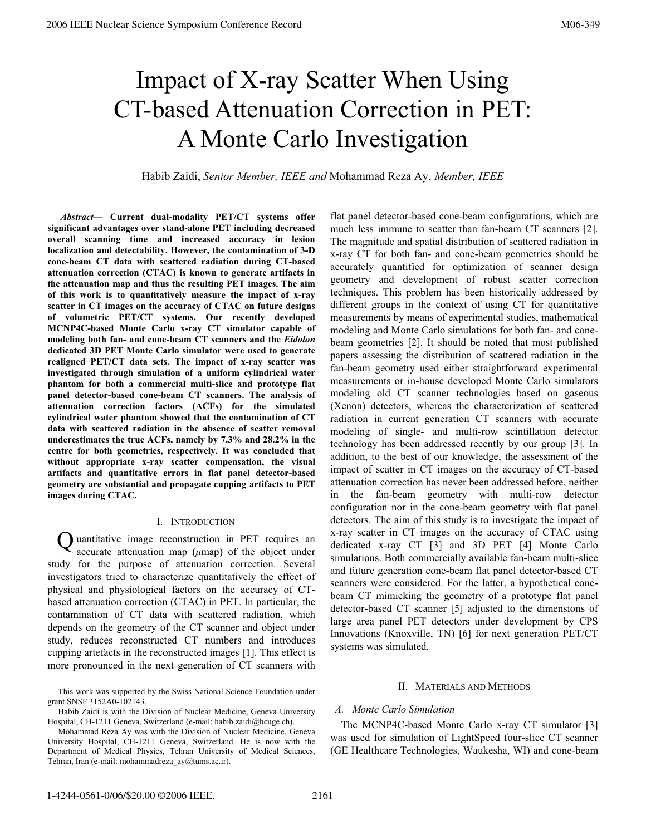# Impact of X-ray Scatter When Using CT-based Attenuation Correction in PET: A Monte Carlo Investigation

Habib Zaidi, *Senior Member, IEEE and* Mohammad Reza Ay, *Member, IEEE*

*Abstract—* **Current dual-modality PET/CT systems offer significant advantages over stand-alone PET including decreased overall scanning time and increased accuracy in lesion localization and detectability. However, the contamination of 3-D cone-beam CT data with scattered radiation during CT-based attenuation correction (CTAC) is known to generate artifacts in the attenuation map and thus the resulting PET images. The aim of this work is to quantitatively measure the impact of x-ray scatter in CT images on the accuracy of CTAC on future designs of volumetric PET/CT systems. Our recently developed MCNP4C-based Monte Carlo x-ray CT simulator capable of modeling both fan- and cone-beam CT scanners and the** *Eidolon* **dedicated 3D PET Monte Carlo simulator were used to generate realigned PET/CT data sets. The impact of x-ray scatter was investigated through simulation of a uniform cylindrical water phantom for both a commercial multi-slice and prototype flat panel detector-based cone-beam CT scanners. The analysis of attenuation correction factors (ACFs) for the simulated cylindrical water phantom showed that the contamination of CT data with scattered radiation in the absence of scatter removal underestimates the true ACFs, namely by 7.3% and 28.2% in the centre for both geometries, respectively. It was concluded that without appropriate x-ray scatter compensation, the visual artifacts and quantitative errors in flat panel detector-based geometry are substantial and propagate cupping artifacts to PET images during CTAC.** 

# I. INTRODUCTION

uantitative image reconstruction in PET requires an Q uantitative image reconstruction in PET requires an accurate attenuation map ( $\mu$ map) of the object under study for the purpose of attenuation correction. Several investigators tried to characterize quantitatively the effect of physical and physiological factors on the accuracy of CTbased attenuation correction (CTAC) in PET. In particular, the contamination of CT data with scattered radiation, which depends on the geometry of the CT scanner and object under study, reduces reconstructed CT numbers and introduces cupping artefacts in the reconstructed images [1]. This effect is more pronounced in the next generation of CT scanners with

flat panel detector-based cone-beam configurations, which are much less immune to scatter than fan-beam CT scanners [2]. The magnitude and spatial distribution of scattered radiation in x-ray CT for both fan- and cone-beam geometries should be accurately quantified for optimization of scanner design geometry and development of robust scatter correction techniques. This problem has been historically addressed by different groups in the context of using CT for quantitative measurements by means of experimental studies, mathematical modeling and Monte Carlo simulations for both fan- and conebeam geometries [2]. It should be noted that most published papers assessing the distribution of scattered radiation in the fan-beam geometry used either straightforward experimental measurements or in-house developed Monte Carlo simulators modeling old CT scanner technologies based on gaseous (Xenon) detectors, whereas the characterization of scattered radiation in current generation CT scanners with accurate modeling of single- and multi-row scintillation detector technology has been addressed recently by our group [3]. In addition, to the best of our knowledge, the assessment of the impact of scatter in CT images on the accuracy of CT-based attenuation correction has never been addressed before, neither in the fan-beam geometry with multi-row detector configuration nor in the cone-beam geometry with flat panel detectors. The aim of this study is to investigate the impact of x-ray scatter in CT images on the accuracy of CTAC using dedicated x-ray CT [3] and 3D PET [4] Monte Carlo simulations. Both commercially available fan-beam multi-slice and future generation cone-beam flat panel detector-based CT scanners were considered. For the latter, a hypothetical conebeam CT mimicking the geometry of a prototype flat panel detector-based CT scanner [5] adjusted to the dimensions of large area panel PET detectors under development by CPS Innovations (Knoxville, TN) [6] for next generation PET/CT systems was simulated.

#### II. MATERIALS AND METHODS

## *A. Monte Carlo Simulation*

The MCNP4C-based Monte Carlo x-ray CT simulator [3] was used for simulation of LightSpeed four-slice CT scanner (GE Healthcare Technologies, Waukesha, WI) and cone-beam

This work was supported by the Swiss National Science Foundation under grant SNSF 3152A0-102143.

Habib Zaidi is with the Division of Nuclear Medicine, Geneva University Hospital, CH-1211 Geneva, Switzerland (e-mail: habib.zaidi@hcuge.ch).

Mohammad Reza Ay was with the Division of Nuclear Medicine, Geneva University Hospital, CH-1211 Geneva, Switzerland. He is now with the Department of Medical Physics, Tehran University of Medical Sciences, Tehran, Iran (e-mail: mohammadreza\_ay@tums.ac.ir).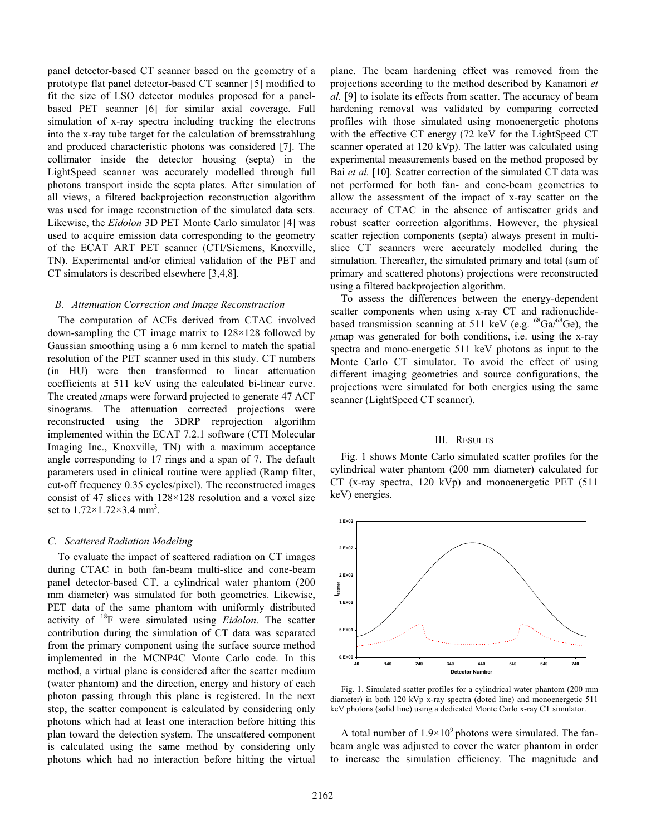panel detector-based CT scanner based on the geometry of a prototype flat panel detector-based CT scanner [5] modified to fit the size of LSO detector modules proposed for a panelbased PET scanner [6] for similar axial coverage. Full simulation of x-ray spectra including tracking the electrons into the x-ray tube target for the calculation of bremsstrahlung and produced characteristic photons was considered [7]. The collimator inside the detector housing (septa) in the LightSpeed scanner was accurately modelled through full photons transport inside the septa plates. After simulation of all views, a filtered backprojection reconstruction algorithm was used for image reconstruction of the simulated data sets. Likewise, the *Eidolon* 3D PET Monte Carlo simulator [4] was used to acquire emission data corresponding to the geometry of the ECAT ART PET scanner (CTI/Siemens, Knoxville, TN). Experimental and/or clinical validation of the PET and CT simulators is described elsewhere [3,4,8].

## *B. Attenuation Correction and Image Reconstruction*

The computation of ACFs derived from CTAC involved down-sampling the CT image matrix to 128×128 followed by Gaussian smoothing using a 6 mm kernel to match the spatial resolution of the PET scanner used in this study. CT numbers (in HU) were then transformed to linear attenuation coefficients at 511 keV using the calculated bi-linear curve. The created *μ*maps were forward projected to generate 47 ACF sinograms. The attenuation corrected projections were reconstructed using the 3DRP reprojection algorithm implemented within the ECAT 7.2.1 software (CTI Molecular Imaging Inc., Knoxville, TN) with a maximum acceptance angle corresponding to 17 rings and a span of 7. The default parameters used in clinical routine were applied (Ramp filter, cut-off frequency 0.35 cycles/pixel). The reconstructed images consist of 47 slices with 128×128 resolution and a voxel size set to  $1.72 \times 1.72 \times 3.4$  mm<sup>3</sup>.

## *C. Scattered Radiation Modeling*

To evaluate the impact of scattered radiation on CT images during CTAC in both fan-beam multi-slice and cone-beam panel detector-based CT, a cylindrical water phantom (200 mm diameter) was simulated for both geometries. Likewise, PET data of the same phantom with uniformly distributed activity of 18F were simulated using *Eidolon*. The scatter contribution during the simulation of CT data was separated from the primary component using the surface source method implemented in the MCNP4C Monte Carlo code. In this method, a virtual plane is considered after the scatter medium (water phantom) and the direction, energy and history of each photon passing through this plane is registered. In the next step, the scatter component is calculated by considering only photons which had at least one interaction before hitting this plan toward the detection system. The unscattered component is calculated using the same method by considering only photons which had no interaction before hitting the virtual

plane. The beam hardening effect was removed from the projections according to the method described by Kanamori *et al.* [9] to isolate its effects from scatter. The accuracy of beam hardening removal was validated by comparing corrected profiles with those simulated using monoenergetic photons with the effective CT energy (72 keV for the LightSpeed CT scanner operated at 120 kVp). The latter was calculated using experimental measurements based on the method proposed by Bai *et al.* [10]. Scatter correction of the simulated CT data was not performed for both fan- and cone-beam geometries to allow the assessment of the impact of x-ray scatter on the accuracy of CTAC in the absence of antiscatter grids and robust scatter correction algorithms. However, the physical scatter rejection components (septa) always present in multislice CT scanners were accurately modelled during the simulation. Thereafter, the simulated primary and total (sum of primary and scattered photons) projections were reconstructed using a filtered backprojection algorithm.

To assess the differences between the energy-dependent scatter components when using x-ray CT and radionuclidebased transmission scanning at 511 keV (e.g.  ${}^{68}Ga/{}^{68}Ge$ ), the *μ*map was generated for both conditions, i.e. using the x-ray spectra and mono-energetic 511 keV photons as input to the Monte Carlo CT simulator. To avoid the effect of using different imaging geometries and source configurations, the projections were simulated for both energies using the same scanner (LightSpeed CT scanner).

#### III. RESULTS

Fig. 1 shows Monte Carlo simulated scatter profiles for the cylindrical water phantom (200 mm diameter) calculated for CT (x-ray spectra, 120 kVp) and monoenergetic PET (511 keV) energies.



Fig. 1. Simulated scatter profiles for a cylindrical water phantom (200 mm diameter) in both 120 kVp x-ray spectra (doted line) and monoenergetic 511 keV photons (solid line) using a dedicated Monte Carlo x-ray CT simulator.

A total number of  $1.9\times10^9$  photons were simulated. The fanbeam angle was adjusted to cover the water phantom in order to increase the simulation efficiency. The magnitude and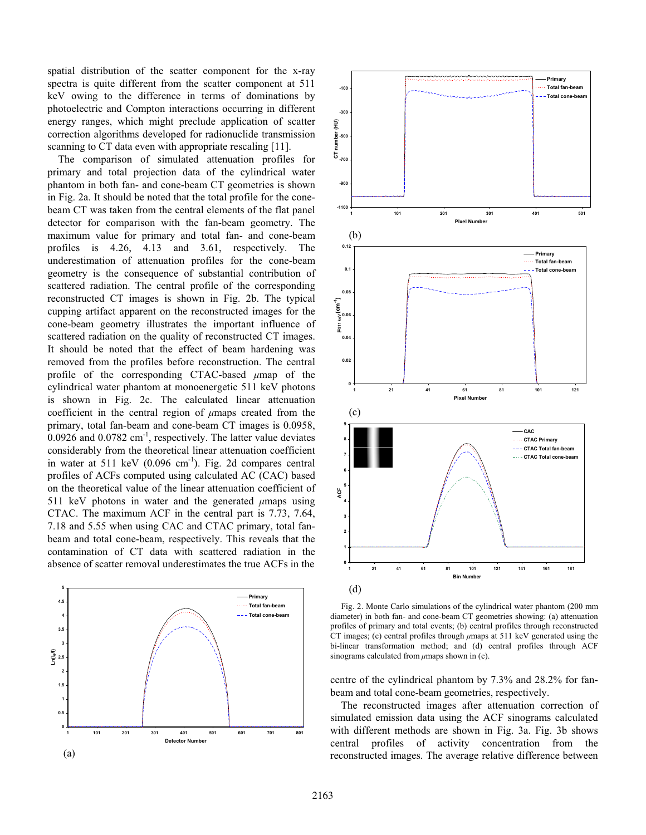spatial distribution of the scatter component for the x-ray spectra is quite different from the scatter component at 511 keV owing to the difference in terms of dominations by photoelectric and Compton interactions occurring in different energy ranges, which might preclude application of scatter correction algorithms developed for radionuclide transmission scanning to CT data even with appropriate rescaling [11].

The comparison of simulated attenuation profiles for primary and total projection data of the cylindrical water phantom in both fan- and cone-beam CT geometries is shown in Fig. 2a. It should be noted that the total profile for the conebeam CT was taken from the central elements of the flat panel detector for comparison with the fan-beam geometry. The maximum value for primary and total fan- and cone-beam profiles is 4.26, 4.13 and 3.61, respectively. The underestimation of attenuation profiles for the cone-beam geometry is the consequence of substantial contribution of scattered radiation. The central profile of the corresponding reconstructed CT images is shown in Fig. 2b. The typical cupping artifact apparent on the reconstructed images for the cone-beam geometry illustrates the important influence of scattered radiation on the quality of reconstructed CT images. It should be noted that the effect of beam hardening was removed from the profiles before reconstruction. The central profile of the corresponding CTAC-based *μ*map of the cylindrical water phantom at monoenergetic 511 keV photons is shown in Fig. 2c. The calculated linear attenuation coefficient in the central region of *μ*maps created from the primary, total fan-beam and cone-beam CT images is 0.0958, 0.0926 and 0.0782  $cm^{-1}$ , respectively. The latter value deviates considerably from the theoretical linear attenuation coefficient in water at 511 keV  $(0.096 \text{ cm}^{-1})$ . Fig. 2d compares central profiles of ACFs computed using calculated AC (CAC) based on the theoretical value of the linear attenuation coefficient of 511 keV photons in water and the generated *μ*maps using CTAC. The maximum ACF in the central part is 7.73, 7.64, 7.18 and 5.55 when using CAC and CTAC primary, total fanbeam and total cone-beam, respectively. This reveals that the contamination of CT data with scattered radiation in the absence of scatter removal underestimates the true ACFs in the





Fig. 2. Monte Carlo simulations of the cylindrical water phantom (200 mm diameter) in both fan- and cone-beam CT geometries showing: (a) attenuation profiles of primary and total events; (b) central profiles through reconstructed CT images; (c) central profiles through *μ*maps at 511 keV generated using the bi-linear transformation method; and (d) central profiles through ACF sinograms calculated from *μ*maps shown in (c).

centre of the cylindrical phantom by 7.3% and 28.2% for fanbeam and total cone-beam geometries, respectively.

The reconstructed images after attenuation correction of simulated emission data using the ACF sinograms calculated with different methods are shown in Fig. 3a. Fig. 3b shows central profiles of activity concentration from the reconstructed images. The average relative difference between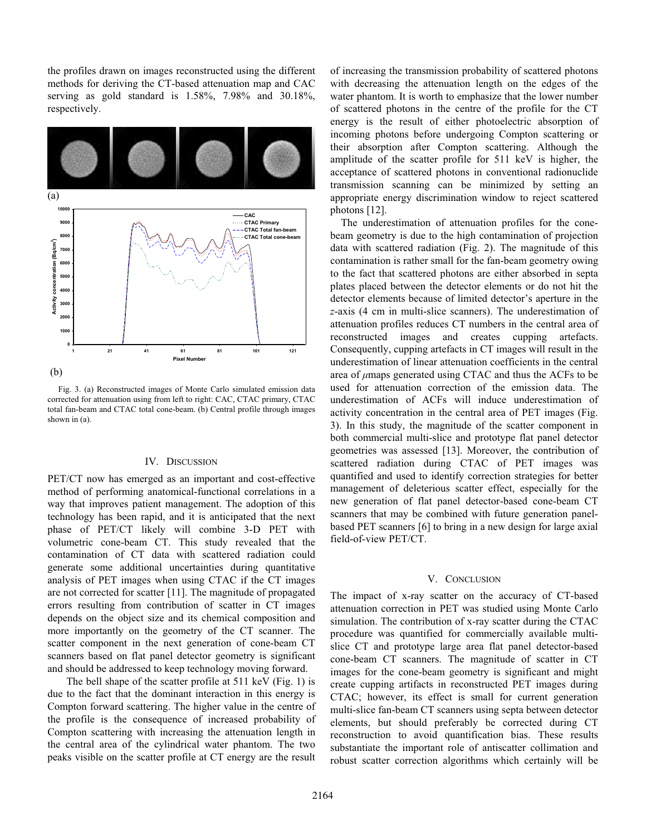the profiles drawn on images reconstructed using the different methods for deriving the CT-based attenuation map and CAC serving as gold standard is 1.58%, 7.98% and 30.18%, respectively.



Fig. 3. (a) Reconstructed images of Monte Carlo simulated emission data corrected for attenuation using from left to right: CAC, CTAC primary, CTAC total fan-beam and CTAC total cone-beam. (b) Central profile through images shown in (a).

## IV. DISCUSSION

PET/CT now has emerged as an important and cost-effective method of performing anatomical-functional correlations in a way that improves patient management. The adoption of this technology has been rapid, and it is anticipated that the next phase of PET/CT likely will combine 3-D PET with volumetric cone-beam CT. This study revealed that the contamination of CT data with scattered radiation could generate some additional uncertainties during quantitative analysis of PET images when using CTAC if the CT images are not corrected for scatter [11]. The magnitude of propagated errors resulting from contribution of scatter in CT images depends on the object size and its chemical composition and more importantly on the geometry of the CT scanner. The scatter component in the next generation of cone-beam CT scanners based on flat panel detector geometry is significant and should be addressed to keep technology moving forward.

The bell shape of the scatter profile at 511 keV (Fig. 1) is due to the fact that the dominant interaction in this energy is Compton forward scattering. The higher value in the centre of the profile is the consequence of increased probability of Compton scattering with increasing the attenuation length in the central area of the cylindrical water phantom. The two peaks visible on the scatter profile at CT energy are the result

of increasing the transmission probability of scattered photons with decreasing the attenuation length on the edges of the water phantom. It is worth to emphasize that the lower number of scattered photons in the centre of the profile for the CT energy is the result of either photoelectric absorption of incoming photons before undergoing Compton scattering or their absorption after Compton scattering. Although the amplitude of the scatter profile for 511 keV is higher, the acceptance of scattered photons in conventional radionuclide transmission scanning can be minimized by setting an appropriate energy discrimination window to reject scattered photons [12].

The underestimation of attenuation profiles for the conebeam geometry is due to the high contamination of projection data with scattered radiation (Fig. 2). The magnitude of this contamination is rather small for the fan-beam geometry owing to the fact that scattered photons are either absorbed in septa plates placed between the detector elements or do not hit the detector elements because of limited detector's aperture in the *z*-axis (4 cm in multi-slice scanners). The underestimation of attenuation profiles reduces CT numbers in the central area of reconstructed images and creates cupping artefacts. Consequently, cupping artefacts in CT images will result in the underestimation of linear attenuation coefficients in the central area of *μ*maps generated using CTAC and thus the ACFs to be used for attenuation correction of the emission data. The underestimation of ACFs will induce underestimation of activity concentration in the central area of PET images (Fig. 3). In this study, the magnitude of the scatter component in both commercial multi-slice and prototype flat panel detector geometries was assessed [13]. Moreover, the contribution of scattered radiation during CTAC of PET images was quantified and used to identify correction strategies for better management of deleterious scatter effect, especially for the new generation of flat panel detector-based cone-beam CT scanners that may be combined with future generation panelbased PET scanners [6] to bring in a new design for large axial field-of-view PET/CT.

#### V. CONCLUSION

The impact of x-ray scatter on the accuracy of CT-based attenuation correction in PET was studied using Monte Carlo simulation. The contribution of x-ray scatter during the CTAC procedure was quantified for commercially available multislice CT and prototype large area flat panel detector-based cone-beam CT scanners. The magnitude of scatter in CT images for the cone-beam geometry is significant and might create cupping artifacts in reconstructed PET images during CTAC; however, its effect is small for current generation multi-slice fan-beam CT scanners using septa between detector elements, but should preferably be corrected during CT reconstruction to avoid quantification bias. These results substantiate the important role of antiscatter collimation and robust scatter correction algorithms which certainly will be